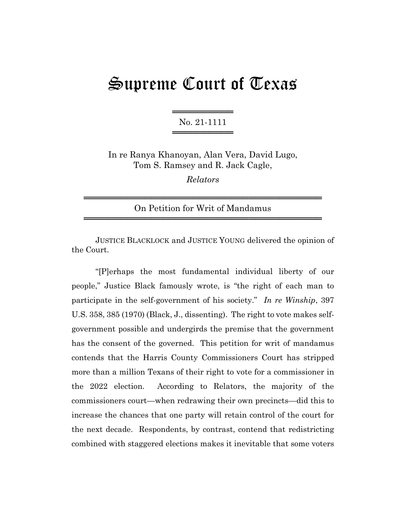## Supreme Court of Texas

═══════════════════ No. 21-1111 ═════════════════

In re Ranya Khanoyan, Alan Vera, David Lugo, Tom S. Ramsey and R. Jack Cagle,

*Relators*

═══════════════════════════════════════ On Petition for Writ of Mandamus ═══════════════════════════════════════

JUSTICE BLACKLOCK and JUSTICE YOUNG delivered the opinion of the Court.

"[P]erhaps the most fundamental individual liberty of our people," Justice Black famously wrote, is "the right of each man to participate in the self-government of his society." *In re Winship*, 397 U.S. 358, 385 (1970) (Black, J., dissenting). The right to vote makes selfgovernment possible and undergirds the premise that the government has the consent of the governed. This petition for writ of mandamus contends that the Harris County Commissioners Court has stripped more than a million Texans of their right to vote for a commissioner in the 2022 election. According to Relators, the majority of the commissioners court—when redrawing their own precincts—did this to increase the chances that one party will retain control of the court for the next decade. Respondents, by contrast, contend that redistricting combined with staggered elections makes it inevitable that some voters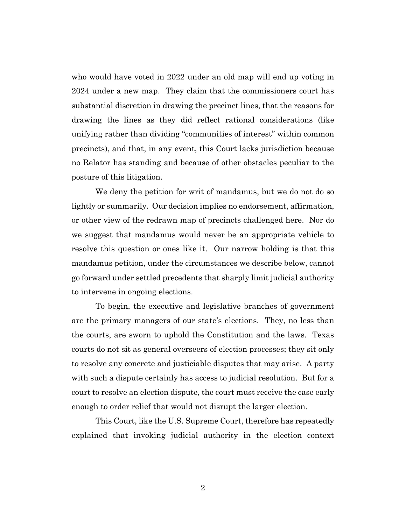who would have voted in 2022 under an old map will end up voting in 2024 under a new map. They claim that the commissioners court has substantial discretion in drawing the precinct lines, that the reasons for drawing the lines as they did reflect rational considerations (like unifying rather than dividing "communities of interest" within common precincts), and that, in any event, this Court lacks jurisdiction because no Relator has standing and because of other obstacles peculiar to the posture of this litigation.

We deny the petition for writ of mandamus, but we do not do so lightly or summarily. Our decision implies no endorsement, affirmation, or other view of the redrawn map of precincts challenged here. Nor do we suggest that mandamus would never be an appropriate vehicle to resolve this question or ones like it. Our narrow holding is that this mandamus petition, under the circumstances we describe below, cannot go forward under settled precedents that sharply limit judicial authority to intervene in ongoing elections.

To begin, the executive and legislative branches of government are the primary managers of our state's elections. They, no less than the courts, are sworn to uphold the Constitution and the laws. Texas courts do not sit as general overseers of election processes; they sit only to resolve any concrete and justiciable disputes that may arise. A party with such a dispute certainly has access to judicial resolution. But for a court to resolve an election dispute, the court must receive the case early enough to order relief that would not disrupt the larger election.

This Court, like the U.S. Supreme Court, therefore has repeatedly explained that invoking judicial authority in the election context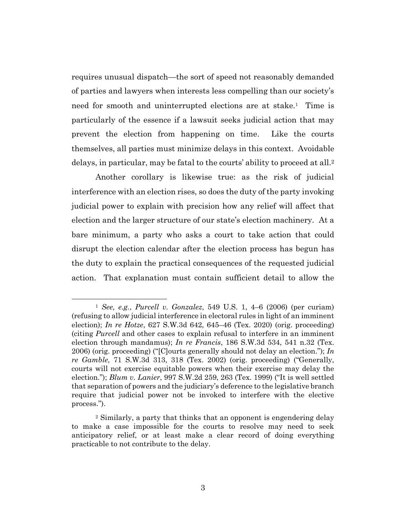requires unusual dispatch—the sort of speed not reasonably demanded of parties and lawyers when interests less compelling than our society's need for smooth and uninterrupted elections are at stake.<sup>1</sup> Time is particularly of the essence if a lawsuit seeks judicial action that may prevent the election from happening on time. Like the courts themselves, all parties must minimize delays in this context. Avoidable delays, in particular, may be fatal to the courts' ability to proceed at all. 2

Another corollary is likewise true: as the risk of judicial interference with an election rises, so does the duty of the party invoking judicial power to explain with precision how any relief will affect that election and the larger structure of our state's election machinery. At a bare minimum, a party who asks a court to take action that could disrupt the election calendar after the election process has begun has the duty to explain the practical consequences of the requested judicial action. That explanation must contain sufficient detail to allow the

<sup>1</sup> *See, e.g.*, *Purcell v. Gonzalez*, 549 U.S. 1, 4–6 (2006) (per curiam) (refusing to allow judicial interference in electoral rules in light of an imminent election); *In re Hotze*, 627 S.W.3d 642, 645–46 (Tex. 2020) (orig. proceeding) (citing *Purcell* and other cases to explain refusal to interfere in an imminent election through mandamus); *In re Francis*, 186 S.W.3d 534, 541 n.32 (Tex. 2006) (orig. proceeding) ("[C]ourts generally should not delay an election."); *In re Gamble*, 71 S.W.3d 313, 318 (Tex. 2002) (orig. proceeding) ("Generally, courts will not exercise equitable powers when their exercise may delay the election."); *Blum v. Lanier*, 997 S.W.2d 259, 263 (Tex. 1999) ("It is well settled that separation of powers and the judiciary's deference to the legislative branch require that judicial power not be invoked to interfere with the elective process.").

<sup>2</sup> Similarly, a party that thinks that an opponent is engendering delay to make a case impossible for the courts to resolve may need to seek anticipatory relief, or at least make a clear record of doing everything practicable to not contribute to the delay.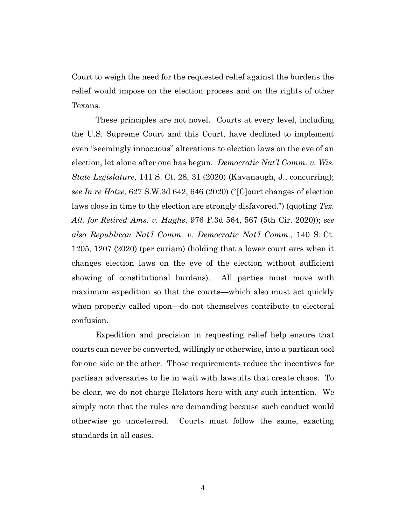Court to weigh the need for the requested relief against the burdens the relief would impose on the election process and on the rights of other Texans.

These principles are not novel. Courts at every level, including the U.S. Supreme Court and this Court, have declined to implement even "seemingly innocuous" alterations to election laws on the eve of an election, let alone after one has begun. *Democratic Nat'l Comm. v. Wis. State Legislature*, 141 S. Ct. 28, 31 (2020) (Kavanaugh, J., concurring); *see In re Hotze*, 627 S.W.3d 642, 646 (2020) ("[C]ourt changes of election laws close in time to the election are strongly disfavored.") (quoting *Tex. All. for Retired Ams. v. Hughs*, 976 F.3d 564, 567 (5th Cir. 2020)); *see also Republican Nat'l Comm. v. Democratic Nat'l Comm.*, 140 S. Ct. 1205, 1207 (2020) (per curiam) (holding that a lower court errs when it changes election laws on the eve of the election without sufficient showing of constitutional burdens). All parties must move with maximum expedition so that the courts—which also must act quickly when properly called upon—do not themselves contribute to electoral confusion.

Expedition and precision in requesting relief help ensure that courts can never be converted, willingly or otherwise, into a partisan tool for one side or the other. Those requirements reduce the incentives for partisan adversaries to lie in wait with lawsuits that create chaos. To be clear, we do not charge Relators here with any such intention. We simply note that the rules are demanding because such conduct would otherwise go undeterred. Courts must follow the same, exacting standards in all cases.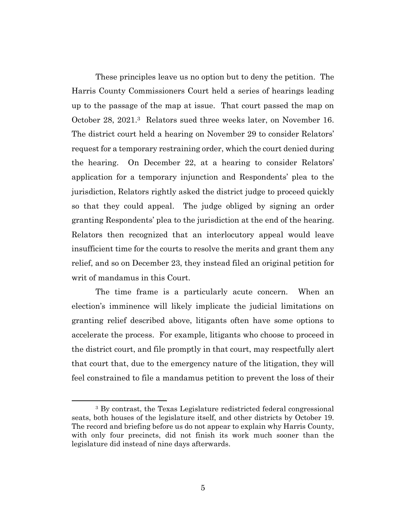These principles leave us no option but to deny the petition. The Harris County Commissioners Court held a series of hearings leading up to the passage of the map at issue. That court passed the map on October 28, 2021.3 Relators sued three weeks later, on November 16. The district court held a hearing on November 29 to consider Relators' request for a temporary restraining order, which the court denied during the hearing. On December 22, at a hearing to consider Relators' application for a temporary injunction and Respondents' plea to the jurisdiction, Relators rightly asked the district judge to proceed quickly so that they could appeal. The judge obliged by signing an order granting Respondents' plea to the jurisdiction at the end of the hearing. Relators then recognized that an interlocutory appeal would leave insufficient time for the courts to resolve the merits and grant them any relief, and so on December 23, they instead filed an original petition for writ of mandamus in this Court.

The time frame is a particularly acute concern. When an election's imminence will likely implicate the judicial limitations on granting relief described above, litigants often have some options to accelerate the process. For example, litigants who choose to proceed in the district court, and file promptly in that court, may respectfully alert that court that, due to the emergency nature of the litigation, they will feel constrained to file a mandamus petition to prevent the loss of their

<sup>3</sup> By contrast, the Texas Legislature redistricted federal congressional seats, both houses of the legislature itself, and other districts by October 19. The record and briefing before us do not appear to explain why Harris County, with only four precincts, did not finish its work much sooner than the legislature did instead of nine days afterwards.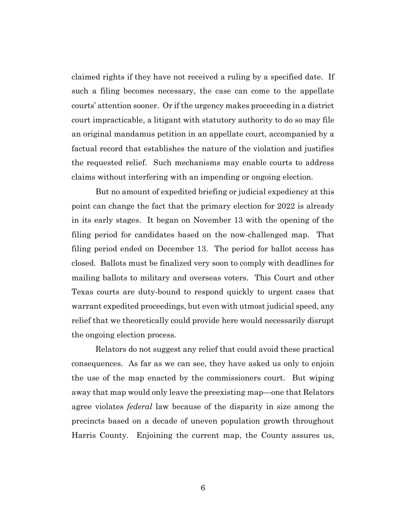claimed rights if they have not received a ruling by a specified date. If such a filing becomes necessary, the case can come to the appellate courts' attention sooner. Or if the urgency makes proceeding in a district court impracticable, a litigant with statutory authority to do so may file an original mandamus petition in an appellate court, accompanied by a factual record that establishes the nature of the violation and justifies the requested relief. Such mechanisms may enable courts to address claims without interfering with an impending or ongoing election.

But no amount of expedited briefing or judicial expediency at this point can change the fact that the primary election for 2022 is already in its early stages. It began on November 13 with the opening of the filing period for candidates based on the now-challenged map. That filing period ended on December 13. The period for ballot access has closed. Ballots must be finalized very soon to comply with deadlines for mailing ballots to military and overseas voters. This Court and other Texas courts are duty-bound to respond quickly to urgent cases that warrant expedited proceedings, but even with utmost judicial speed, any relief that we theoretically could provide here would necessarily disrupt the ongoing election process.

Relators do not suggest any relief that could avoid these practical consequences. As far as we can see, they have asked us only to enjoin the use of the map enacted by the commissioners court. But wiping away that map would only leave the preexisting map—one that Relators agree violates *federal* law because of the disparity in size among the precincts based on a decade of uneven population growth throughout Harris County. Enjoining the current map, the County assures us,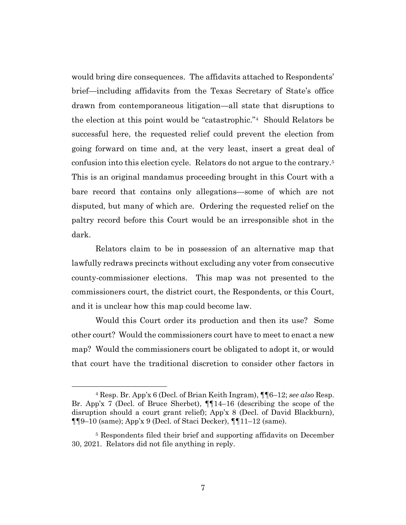would bring dire consequences. The affidavits attached to Respondents' brief—including affidavits from the Texas Secretary of State's office drawn from contemporaneous litigation—all state that disruptions to the election at this point would be "catastrophic."<sup>4</sup> Should Relators be successful here, the requested relief could prevent the election from going forward on time and, at the very least, insert a great deal of confusion into this election cycle. Relators do not argue to the contrary.<sup>5</sup> This is an original mandamus proceeding brought in this Court with a bare record that contains only allegations—some of which are not disputed, but many of which are. Ordering the requested relief on the paltry record before this Court would be an irresponsible shot in the dark.

Relators claim to be in possession of an alternative map that lawfully redraws precincts without excluding any voter from consecutive county-commissioner elections. This map was not presented to the commissioners court, the district court, the Respondents, or this Court, and it is unclear how this map could become law.

Would this Court order its production and then its use? Some other court? Would the commissioners court have to meet to enact a new map? Would the commissioners court be obligated to adopt it, or would that court have the traditional discretion to consider other factors in

<sup>4</sup> Resp. Br. App'x 6 (Decl. of Brian Keith Ingram), ¶¶6–12; *see also* Resp. Br. App'x 7 (Decl. of Bruce Sherbet), ¶¶14–16 (describing the scope of the disruption should a court grant relief); App'x 8 (Decl. of David Blackburn),  $\P\P9-10$  (same); App'x 9 (Decl. of Staci Decker),  $\P\P11-12$  (same).

<sup>5</sup> Respondents filed their brief and supporting affidavits on December 30, 2021. Relators did not file anything in reply.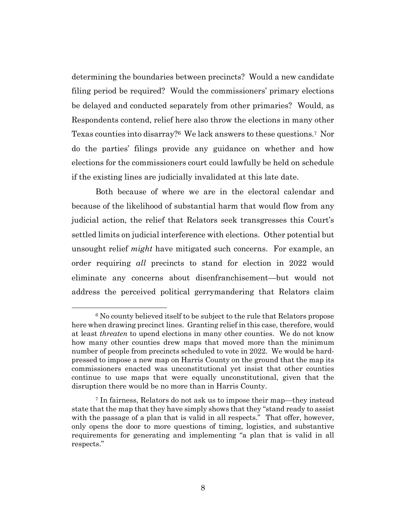determining the boundaries between precincts? Would a new candidate filing period be required? Would the commissioners' primary elections be delayed and conducted separately from other primaries? Would, as Respondents contend, relief here also throw the elections in many other Texas counties into disarray?6 We lack answers to these questions.<sup>7</sup> Nor do the parties' filings provide any guidance on whether and how elections for the commissioners court could lawfully be held on schedule if the existing lines are judicially invalidated at this late date.

Both because of where we are in the electoral calendar and because of the likelihood of substantial harm that would flow from any judicial action, the relief that Relators seek transgresses this Court's settled limits on judicial interference with elections. Other potential but unsought relief *might* have mitigated such concerns. For example, an order requiring *all* precincts to stand for election in 2022 would eliminate any concerns about disenfranchisement—but would not address the perceived political gerrymandering that Relators claim

<sup>6</sup> No county believed itself to be subject to the rule that Relators propose here when drawing precinct lines. Granting relief in this case, therefore, would at least *threaten* to upend elections in many other counties. We do not know how many other counties drew maps that moved more than the minimum number of people from precincts scheduled to vote in 2022. We would be hardpressed to impose a new map on Harris County on the ground that the map its commissioners enacted was unconstitutional yet insist that other counties continue to use maps that were equally unconstitutional, given that the disruption there would be no more than in Harris County.

<sup>7</sup> In fairness, Relators do not ask us to impose their map—they instead state that the map that they have simply shows that they "stand ready to assist with the passage of a plan that is valid in all respects." That offer, however, only opens the door to more questions of timing, logistics, and substantive requirements for generating and implementing "a plan that is valid in all respects."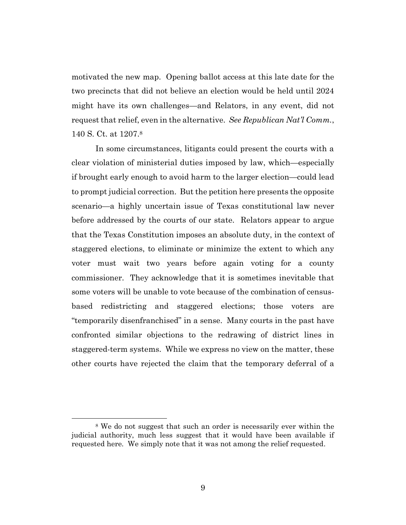motivated the new map. Opening ballot access at this late date for the two precincts that did not believe an election would be held until 2024 might have its own challenges—and Relators, in any event, did not request that relief, even in the alternative. *See Republican Nat'l Comm.*, 140 S. Ct. at 1207. 8

In some circumstances, litigants could present the courts with a clear violation of ministerial duties imposed by law, which—especially if brought early enough to avoid harm to the larger election—could lead to prompt judicial correction. But the petition here presents the opposite scenario—a highly uncertain issue of Texas constitutional law never before addressed by the courts of our state. Relators appear to argue that the Texas Constitution imposes an absolute duty, in the context of staggered elections, to eliminate or minimize the extent to which any voter must wait two years before again voting for a county commissioner. They acknowledge that it is sometimes inevitable that some voters will be unable to vote because of the combination of censusbased redistricting and staggered elections; those voters are "temporarily disenfranchised" in a sense. Many courts in the past have confronted similar objections to the redrawing of district lines in staggered-term systems. While we express no view on the matter, these other courts have rejected the claim that the temporary deferral of a

<sup>8</sup> We do not suggest that such an order is necessarily ever within the judicial authority, much less suggest that it would have been available if requested here. We simply note that it was not among the relief requested.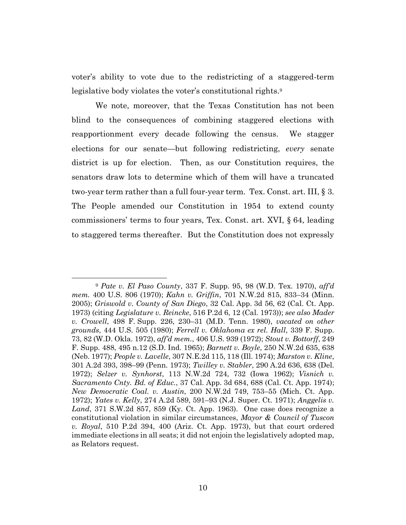voter's ability to vote due to the redistricting of a staggered-term legislative body violates the voter's constitutional rights.<sup>9</sup>

We note, moreover, that the Texas Constitution has not been blind to the consequences of combining staggered elections with reapportionment every decade following the census. We stagger elections for our senate—but following redistricting, *every* senate district is up for election. Then, as our Constitution requires, the senators draw lots to determine which of them will have a truncated two-year term rather than a full four-year term. Tex. Const. art. III, § 3. The People amended our Constitution in 1954 to extend county commissioners' terms to four years, Tex. Const. art. XVI, § 64, leading to staggered terms thereafter. But the Constitution does not expressly

<sup>9</sup> *Pate v. El Paso County*, 337 F. Supp. 95, 98 (W.D. Tex. 1970), *aff'd mem.* 400 U.S. 806 (1970); *Kahn v. Griffin*, 701 N.W.2d 815, 833–34 (Minn. 2005); *Griswold v. County of San Diego*, 32 Cal. App. 3d 56, 62 (Cal. Ct. App. 1973) (citing *Legislature v. Reincke*, 516 P.2d 6, 12 (Cal. 1973)); *see also Mader v. Crowell*, 498 F. Supp. 226, 230–31 (M.D. Tenn. 1980), *vacated on other grounds*, 444 U.S. 505 (1980); *Ferrell v. Oklahoma ex rel. Hall*, 339 F. Supp. 73, 82 (W.D. Okla. 1972), *aff'd mem.*, 406 U.S. 939 (1972); *Stout v. Bottorff*, 249 F. Supp. 488, 495 n.12 (S.D. Ind. 1965); *Barnett v. Boyle*, 250 N.W.2d 635, 638 (Neb. 1977); *People v. Lavelle*, 307 N.E.2d 115, 118 (Ill. 1974); *Marston v. Kline*, 301 A.2d 393, 398–99 (Penn. 1973); *Twilley v. Stabler*, 290 A.2d 636, 638 (Del. 1972); *Selzer v. Synhorst*, 113 N.W.2d 724, 732 (Iowa 1962); *Visnich v. Sacramento Cnty. Bd. of Educ.*, 37 Cal. App. 3d 684, 688 (Cal. Ct. App. 1974); *New Democratic Coal. v. Austin*, 200 N.W.2d 749, 753–55 (Mich. Ct. App. 1972); *Yates v. Kelly*, 274 A.2d 589, 591–93 (N.J. Super. Ct. 1971); *Anggelis v. Land*, 371 S.W.2d 857, 859 (Ky. Ct. App. 1963). One case does recognize a constitutional violation in similar circumstances, *Mayor & Council of Tuscon v. Royal*, 510 P.2d 394, 400 (Ariz. Ct. App. 1973), but that court ordered immediate elections in all seats; it did not enjoin the legislatively adopted map, as Relators request.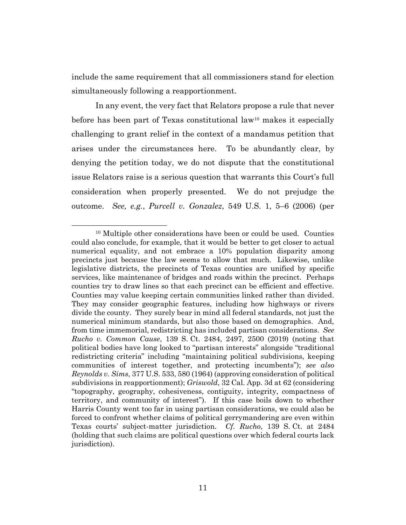include the same requirement that all commissioners stand for election simultaneously following a reapportionment.

In any event, the very fact that Relators propose a rule that never before has been part of Texas constitutional law<sup>10</sup> makes it especially challenging to grant relief in the context of a mandamus petition that arises under the circumstances here. To be abundantly clear, by denying the petition today, we do not dispute that the constitutional issue Relators raise is a serious question that warrants this Court's full consideration when properly presented. We do not prejudge the outcome. *See, e.g.*, *Purcell v. Gonzalez*, 549 U.S. 1, 5–6 (2006) (per

<sup>&</sup>lt;sup>10</sup> Multiple other considerations have been or could be used. Counties could also conclude, for example, that it would be better to get closer to actual numerical equality, and not embrace a 10% population disparity among precincts just because the law seems to allow that much. Likewise, unlike legislative districts, the precincts of Texas counties are unified by specific services, like maintenance of bridges and roads within the precinct. Perhaps counties try to draw lines so that each precinct can be efficient and effective. Counties may value keeping certain communities linked rather than divided. They may consider geographic features, including how highways or rivers divide the county. They surely bear in mind all federal standards, not just the numerical minimum standards, but also those based on demographics. And, from time immemorial, redistricting has included partisan considerations. *See Rucho v. Common Cause*, 139 S. Ct. 2484, 2497, 2500 (2019) (noting that political bodies have long looked to "partisan interests" alongside "traditional redistricting criteria" including "maintaining political subdivisions, keeping communities of interest together, and protecting incumbents"); *see also Reynolds v. Sims*, 377 U.S. 533, 580 (1964) (approving consideration of political subdivisions in reapportionment); *Griswold*, 32 Cal. App. 3d at 62 (considering "topography, geography, cohesiveness, contiguity, integrity, compactness of territory, and community of interest"). If this case boils down to whether Harris County went too far in using partisan considerations, we could also be forced to confront whether claims of political gerrymandering are even within Texas courts' subject-matter jurisdiction. *Cf. Rucho*, 139 S. Ct. at 2484 (holding that such claims are political questions over which federal courts lack jurisdiction).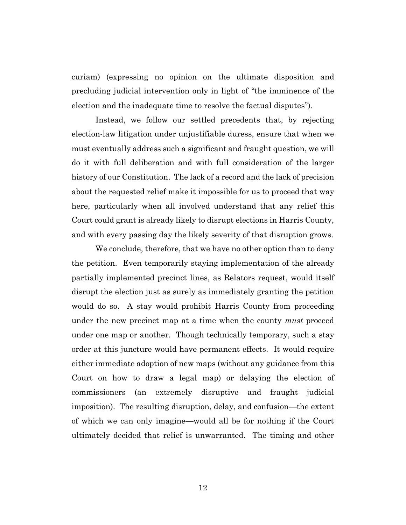curiam) (expressing no opinion on the ultimate disposition and precluding judicial intervention only in light of "the imminence of the election and the inadequate time to resolve the factual disputes").

Instead, we follow our settled precedents that, by rejecting election-law litigation under unjustifiable duress, ensure that when we must eventually address such a significant and fraught question, we will do it with full deliberation and with full consideration of the larger history of our Constitution. The lack of a record and the lack of precision about the requested relief make it impossible for us to proceed that way here, particularly when all involved understand that any relief this Court could grant is already likely to disrupt elections in Harris County, and with every passing day the likely severity of that disruption grows.

We conclude, therefore, that we have no other option than to deny the petition. Even temporarily staying implementation of the already partially implemented precinct lines, as Relators request, would itself disrupt the election just as surely as immediately granting the petition would do so. A stay would prohibit Harris County from proceeding under the new precinct map at a time when the county *must* proceed under one map or another. Though technically temporary, such a stay order at this juncture would have permanent effects. It would require either immediate adoption of new maps (without any guidance from this Court on how to draw a legal map) or delaying the election of commissioners (an extremely disruptive and fraught judicial imposition). The resulting disruption, delay, and confusion—the extent of which we can only imagine—would all be for nothing if the Court ultimately decided that relief is unwarranted. The timing and other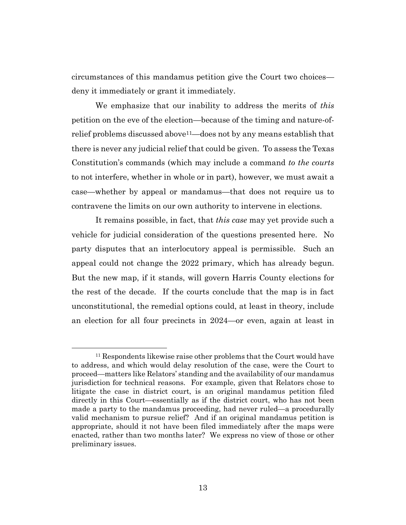circumstances of this mandamus petition give the Court two choices deny it immediately or grant it immediately.

We emphasize that our inability to address the merits of *this*  petition on the eve of the election—because of the timing and nature-ofrelief problems discussed above11—does not by any means establish that there is never any judicial relief that could be given. To assess the Texas Constitution's commands (which may include a command *to the courts* to not interfere, whether in whole or in part), however, we must await a case—whether by appeal or mandamus—that does not require us to contravene the limits on our own authority to intervene in elections.

It remains possible, in fact, that *this case* may yet provide such a vehicle for judicial consideration of the questions presented here. No party disputes that an interlocutory appeal is permissible. Such an appeal could not change the 2022 primary, which has already begun. But the new map, if it stands, will govern Harris County elections for the rest of the decade. If the courts conclude that the map is in fact unconstitutional, the remedial options could, at least in theory, include an election for all four precincts in 2024—or even, again at least in

<sup>11</sup> Respondents likewise raise other problems that the Court would have to address, and which would delay resolution of the case, were the Court to proceed—matters like Relators' standing and the availability of our mandamus jurisdiction for technical reasons. For example, given that Relators chose to litigate the case in district court, is an original mandamus petition filed directly in this Court—essentially as if the district court, who has not been made a party to the mandamus proceeding, had never ruled—a procedurally valid mechanism to pursue relief? And if an original mandamus petition is appropriate, should it not have been filed immediately after the maps were enacted, rather than two months later? We express no view of those or other preliminary issues.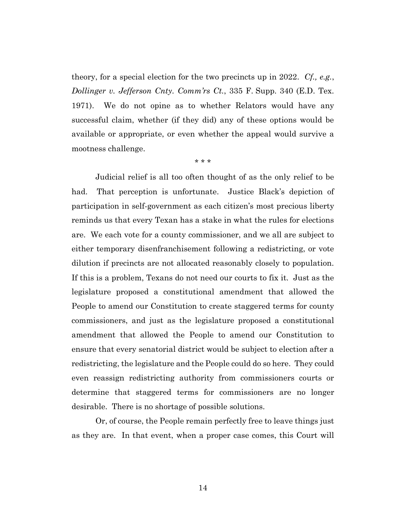theory, for a special election for the two precincts up in 2022. *Cf., e.g.*, *Dollinger v. Jefferson Cnty. Comm'rs Ct.*, 335 F. Supp. 340 (E.D. Tex. 1971). We do not opine as to whether Relators would have any successful claim, whether (if they did) any of these options would be available or appropriate, or even whether the appeal would survive a mootness challenge.

\* \* \*

Judicial relief is all too often thought of as the only relief to be had. That perception is unfortunate. Justice Black's depiction of participation in self-government as each citizen's most precious liberty reminds us that every Texan has a stake in what the rules for elections are. We each vote for a county commissioner, and we all are subject to either temporary disenfranchisement following a redistricting, or vote dilution if precincts are not allocated reasonably closely to population. If this is a problem, Texans do not need our courts to fix it. Just as the legislature proposed a constitutional amendment that allowed the People to amend our Constitution to create staggered terms for county commissioners, and just as the legislature proposed a constitutional amendment that allowed the People to amend our Constitution to ensure that every senatorial district would be subject to election after a redistricting, the legislature and the People could do so here. They could even reassign redistricting authority from commissioners courts or determine that staggered terms for commissioners are no longer desirable. There is no shortage of possible solutions.

Or, of course, the People remain perfectly free to leave things just as they are. In that event, when a proper case comes, this Court will